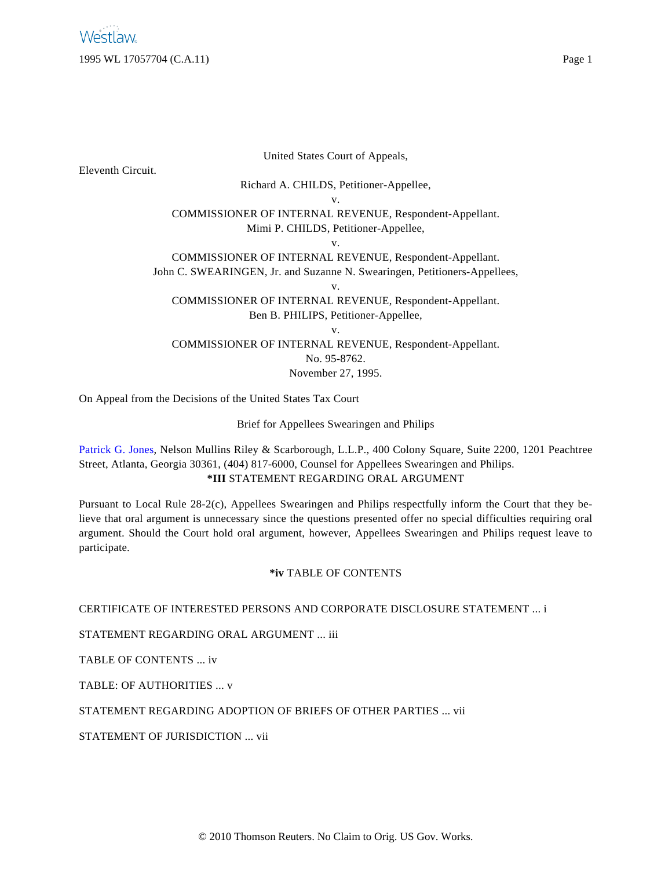United States Court of Appeals,

Eleventh Circuit.

Richard A. CHILDS, Petitioner-Appellee,

v.

COMMISSIONER OF INTERNAL REVENUE, Respondent-Appellant. Mimi P. CHILDS, Petitioner-Appellee,

v.

COMMISSIONER OF INTERNAL REVENUE, Respondent-Appellant. John C. SWEARINGEN, Jr. and Suzanne N. Swearingen, Petitioners-Appellees, v.

COMMISSIONER OF INTERNAL REVENUE, Respondent-Appellant. Ben B. PHILIPS, Petitioner-Appellee,

v.

COMMISSIONER OF INTERNAL REVENUE, Respondent-Appellant. No. 95-8762.

November 27, 1995.

On Appeal from the Decisions of the United States Tax Court

Brief for Appellees Swearingen and Philips

[Patrick G. Jones](http://www.westlaw.com/Find/Default.wl?rs=dfa1.0&vr=2.0&DB=PROFILER-WLD&DocName=0108614501&FindType=h), Nelson Mullins Riley & Scarborough, L.L.P., 400 Colony Square, Suite 2200, 1201 Peachtree Street, Atlanta, Georgia 30361, (404) 817-6000, Counsel for Appellees Swearingen and Philips. **\*III** STATEMENT REGARDING ORAL ARGUMENT

Pursuant to Local Rule 28-2(c), Appellees Swearingen and Philips respectfully inform the Court that they believe that oral argument is unnecessary since the questions presented offer no special difficulties requiring oral argument. Should the Court hold oral argument, however, Appellees Swearingen and Philips request leave to participate.

## **\*iv** TABLE OF CONTENTS

CERTIFICATE OF INTERESTED PERSONS AND CORPORATE DISCLOSURE STATEMENT ... i

STATEMENT REGARDING ORAL ARGUMENT ... iii

TABLE OF CONTENTS ... iv

TABLE: OF AUTHORITIES ... v

STATEMENT REGARDING ADOPTION OF BRIEFS OF OTHER PARTIES ... vii

STATEMENT OF JURISDICTION ... vii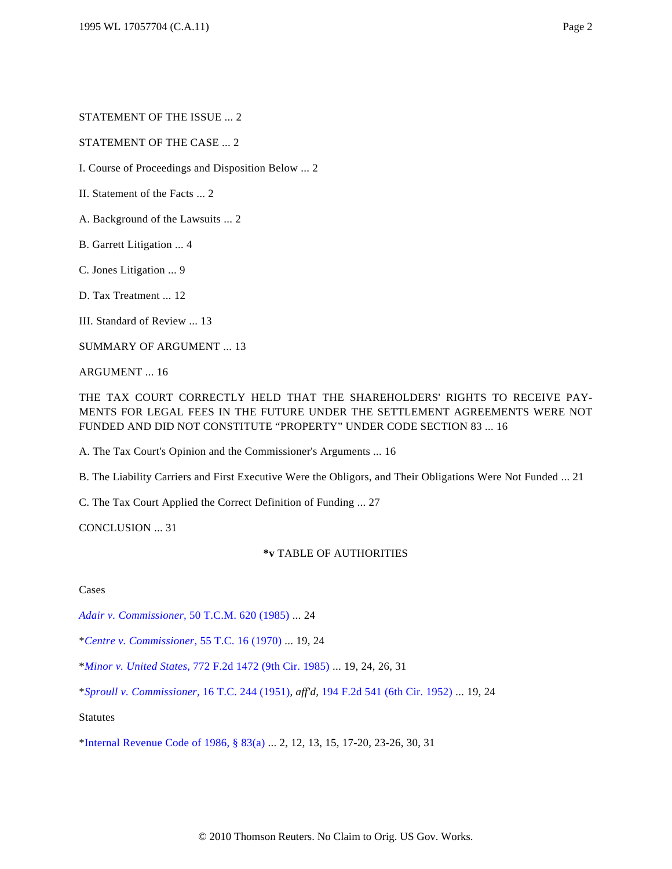### STATEMENT OF THE CASE ... 2

I. Course of Proceedings and Disposition Below ... 2

II. Statement of the Facts ... 2

A. Background of the Lawsuits ... 2

B. Garrett Litigation ... 4

C. Jones Litigation ... 9

D. Tax Treatment ... 12

III. Standard of Review ... 13

SUMMARY OF ARGUMENT ... 13

ARGUMENT ... 16

THE TAX COURT CORRECTLY HELD THAT THE SHAREHOLDERS' RIGHTS TO RECEIVE PAY-MENTS FOR LEGAL FEES IN THE FUTURE UNDER THE SETTLEMENT AGREEMENTS WERE NOT FUNDED AND DID NOT CONSTITUTE "PROPERTY" UNDER CODE SECTION 83 ... 16

A. The Tax Court's Opinion and the Commissioner's Arguments ... 16

B. The Liability Carriers and First Executive Were the Obligors, and Their Obligations Were Not Funded ... 21

C. The Tax Court Applied the Correct Definition of Funding ... 27

CONCLUSION ... 31

#### **\*v** TABLE OF AUTHORITIES

Cases

*[Adair v. Commissioner](http://www.westlaw.com/Find/Default.wl?rs=dfa1.0&vr=2.0&DB=1620&FindType=Y&SerialNum=1985007049),* [50 T.C.M. 620 \(1985\)](http://www.westlaw.com/Find/Default.wl?rs=dfa1.0&vr=2.0&DB=1620&FindType=Y&SerialNum=1985007049) ... 24

\**[Centre v. Commissioner](http://www.westlaw.com/Find/Default.wl?rs=dfa1.0&vr=2.0&DB=838&FindType=Y&SerialNum=1971290034),* [55 T.C. 16 \(1970\)](http://www.westlaw.com/Find/Default.wl?rs=dfa1.0&vr=2.0&DB=838&FindType=Y&SerialNum=1971290034) ... 19, 24

\**[Minor v. United States,](http://www.westlaw.com/Find/Default.wl?rs=dfa1.0&vr=2.0&DB=350&FindType=Y&SerialNum=1985148622)* [772 F.2d 1472 \(9th Cir. 1985\)](http://www.westlaw.com/Find/Default.wl?rs=dfa1.0&vr=2.0&DB=350&FindType=Y&SerialNum=1985148622) ... 19, 24, 26, 31

\**[Sproull v. Commissioner,](http://www.westlaw.com/Find/Default.wl?rs=dfa1.0&vr=2.0&DB=838&FindType=Y&SerialNum=1951287377)* [16 T.C. 244 \(1951\)](http://www.westlaw.com/Find/Default.wl?rs=dfa1.0&vr=2.0&DB=838&FindType=Y&SerialNum=1951287377), *aff'd,* [194 F.2d 541 \(6th Cir. 1952\)](http://www.westlaw.com/Find/Default.wl?rs=dfa1.0&vr=2.0&DB=350&FindType=Y&SerialNum=1952200085) ... 19, 24

Statutes

[\\*Internal Revenue Code of 1986, § 83\(a\)](http://www.westlaw.com/Find/Default.wl?rs=dfa1.0&vr=2.0&DB=1012823&DocName=26USCAS83&FindType=L&ReferencePositionType=T&ReferencePosition=SP_8b3b0000958a4) ... 2, 12, 13, 15, 17-20, 23-26, 30, 31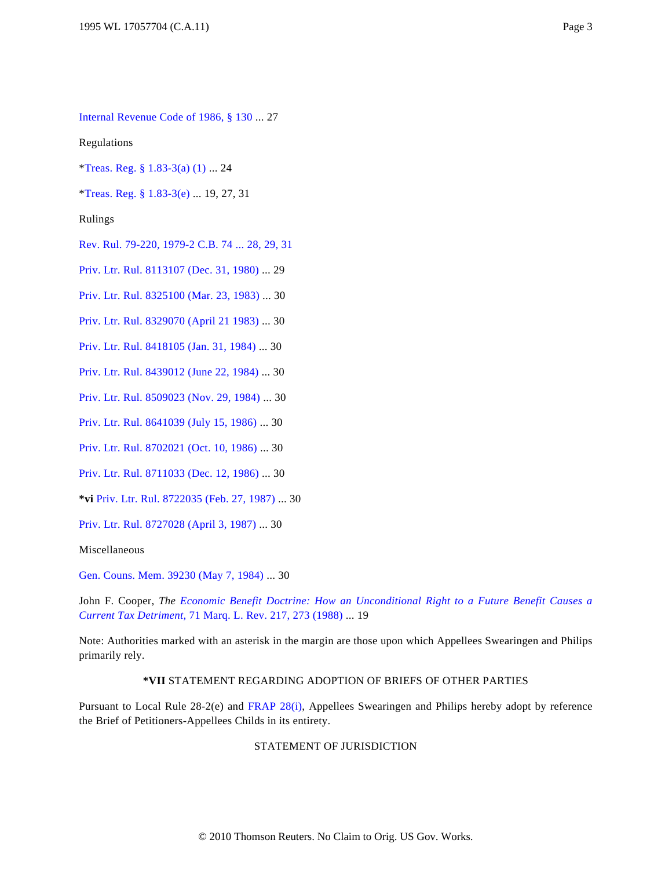[Internal Revenue Code of 1986, § 130](http://www.westlaw.com/Find/Default.wl?rs=dfa1.0&vr=2.0&DB=1012823&DocName=26USCAS130&FindType=L) ... 27

Regulations

[\\*Treas. Reg. § 1.83-3\(a\)](http://www.westlaw.com/Find/Default.wl?rs=dfa1.0&vr=2.0&DB=1016188&DocName=26CFRS1.83-3&FindType=L&ReferencePositionType=T&ReferencePosition=SP_7b9b000044381) [\(1\)](http://www.westlaw.com/Find/Default.wl?rs=dfa1.0&vr=2.0&DB=1016188&DocName=26CFRS1.83-3&FindType=L) ... 24

[\\*Treas. Reg. § 1.83-3\(e\)](http://www.westlaw.com/Find/Default.wl?rs=dfa1.0&vr=2.0&DB=1016188&DocName=26CFRS1.83-3&FindType=L&ReferencePositionType=T&ReferencePosition=SP_7fdd00001ca15) ... 19, 27, 31

Rulings

[Rev. Rul. 79-220, 1979-2 C.B. 74 ... 28, 29, 31](http://www.westlaw.com/Find/Default.wl?rs=dfa1.0&vr=2.0&DB=1048&FindType=Y&SerialNum=1979020295)

[Priv. Ltr. Rul. 8113107 \(Dec. 31, 1980\)](http://www.westlaw.com/Find/Default.wl?rs=dfa1.0&vr=2.0&DB=0004309&FindType=Y&SerialNum=1980034226) ... 29

[Priv. Ltr. Rul. 8325100 \(Mar. 23, 1983\)](http://www.westlaw.com/Find/Default.wl?rs=dfa1.0&vr=2.0&DB=0004309&FindType=Y&SerialNum=1983037084) ... 30

[Priv. Ltr. Rul. 8329070 \(April 21 1983\)](http://www.westlaw.com/Find/Default.wl?rs=dfa1.0&vr=2.0&DB=0004309&FindType=Y&SerialNum=1983037464) ... 30

[Priv. Ltr. Rul. 8418105 \(Jan. 31, 1984\)](http://www.westlaw.com/Find/Default.wl?rs=dfa1.0&vr=2.0&DB=0004309&FindType=Y&SerialNum=1984041450) ... 30

[Priv. Ltr. Rul. 8439012 \(June 22, 1984\)](http://www.westlaw.com/Find/Default.wl?rs=dfa1.0&vr=2.0&DB=0004309&FindType=Y&SerialNum=1984043027) ... 30

[Priv. Ltr. Rul. 8509023 \(Nov. 29, 1984\)](http://www.westlaw.com/Find/Default.wl?rs=dfa1.0&vr=2.0&DB=0004309&FindType=Y&SerialNum=1984038732) ... 30

[Priv. Ltr. Rul. 8641039 \(July 15, 1986\)](http://www.westlaw.com/Find/Default.wl?rs=dfa1.0&vr=2.0&DB=0004309&FindType=Y&SerialNum=1986033623) ... 30

[Priv. Ltr. Rul. 8702021 \(Oct. 10, 1986\)](http://www.westlaw.com/Find/Default.wl?rs=dfa1.0&vr=2.0&DB=0004309&FindType=Y&SerialNum=1986034257) ... 30

[Priv. Ltr. Rul. 8711033 \(Dec. 12, 1986\)](http://www.westlaw.com/Find/Default.wl?rs=dfa1.0&vr=2.0&DB=0004309&FindType=Y&SerialNum=1986035714) ... 30

**\*vi** [Priv. Ltr. Rul. 8722035 \(Feb. 27, 1987\)](http://www.westlaw.com/Find/Default.wl?rs=dfa1.0&vr=2.0&DB=0004309&FindType=Y&SerialNum=1987188463) ... 30

[Priv. Ltr. Rul. 8727028 \(April 3, 1987\)](http://www.westlaw.com/Find/Default.wl?rs=dfa1.0&vr=2.0&DB=0004309&FindType=Y&SerialNum=1987190905) ... 30

Miscellaneous

[Gen. Couns. Mem. 39230 \(May 7, 1984\)](http://www.westlaw.com/Find/Default.wl?rs=dfa1.0&vr=2.0&DB=0003002&FindType=Y&SerialNum=1984256453) ... 30

John F. Cooper, *The [Economic Benefit Doctrine: How an Unconditional Right to a Future Benefit Cause](http://www.westlaw.com/Find/Default.wl?rs=dfa1.0&vr=2.0&DB=1186&FindType=Y&ReferencePositionType=S&SerialNum=0102420293&ReferencePosition=273)s a [Current Tax Detriment](http://www.westlaw.com/Find/Default.wl?rs=dfa1.0&vr=2.0&DB=1186&FindType=Y&ReferencePositionType=S&SerialNum=0102420293&ReferencePosition=273),* [71 Marq. L. Rev. 217, 273 \(1988\)](http://www.westlaw.com/Find/Default.wl?rs=dfa1.0&vr=2.0&DB=1186&FindType=Y&ReferencePositionType=S&SerialNum=0102420293&ReferencePosition=273) ... 19

Note: Authorities marked with an asterisk in the margin are those upon which Appellees Swearingen and Philips primarily rely.

#### **\*VII** STATEMENT REGARDING ADOPTION OF BRIEFS OF OTHER PARTIES

Pursuant to Local Rule 28-2(e) and [FRAP 28\(i\)](http://www.westlaw.com/Find/Default.wl?rs=dfa1.0&vr=2.0&DB=1004365&DocName=USFRAPR28&FindType=L), Appellees Swearingen and Philips hereby adopt by reference the Brief of Petitioners-Appellees Childs in its entirety.

#### STATEMENT OF JURISDICTION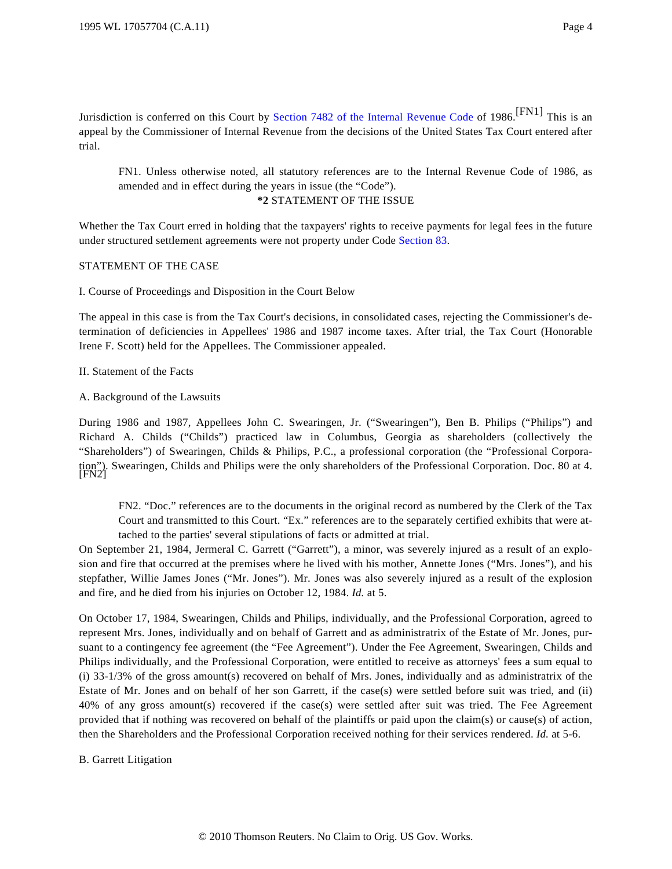Jurisdiction is conferred on this Court by [Section 7482 of the Internal Revenue Cod](http://www.westlaw.com/Find/Default.wl?rs=dfa1.0&vr=2.0&DB=1012823&DocName=26USCAS7482&FindType=L)e of 1986.<sup>[FN1]</sup> This is an appeal by the Commissioner of Internal Revenue from the decisions of the United States Tax Court entered after trial.

FN1. Unless otherwise noted, all statutory references are to the Internal Revenue Code of 1986, as amended and in effect during the years in issue (the "Code"). **\*2** STATEMENT OF THE ISSUE

Whether the Tax Court erred in holding that the taxpayers' rights to receive payments for legal fees in the future under structured settlement agreements were not property under Code [Section 83](http://www.westlaw.com/Find/Default.wl?rs=dfa1.0&vr=2.0&DB=1012823&DocName=26USCAS83&FindType=L).

## STATEMENT OF THE CASE

I. Course of Proceedings and Disposition in the Court Below

The appeal in this case is from the Tax Court's decisions, in consolidated cases, rejecting the Commissioner's determination of deficiencies in Appellees' 1986 and 1987 income taxes. After trial, the Tax Court (Honorable Irene F. Scott) held for the Appellees. The Commissioner appealed.

II. Statement of the Facts

A. Background of the Lawsuits

During 1986 and 1987, Appellees John C. Swearingen, Jr. ("Swearingen"), Ben B. Philips ("Philips") and Richard A. Childs ("Childs") practiced law in Columbus, Georgia as shareholders (collectively the "Shareholders") of Swearingen, Childs & Philips, P.C., a professional corporation (the "Professional Corporation"). Swearingen, Childs and Philips were the only shareholders of the Professional Corporation. Doc. 80 at 4. [FN2]

FN2. "Doc." references are to the documents in the original record as numbered by the Clerk of the Tax Court and transmitted to this Court. "Ex." references are to the separately certified exhibits that were attached to the parties' several stipulations of facts or admitted at trial.

On September 21, 1984, Jermeral C. Garrett ("Garrett"), a minor, was severely injured as a result of an explosion and fire that occurred at the premises where he lived with his mother, Annette Jones ("Mrs. Jones"), and his stepfather, Willie James Jones ("Mr. Jones"). Mr. Jones was also severely injured as a result of the explosion and fire, and he died from his injuries on October 12, 1984. *Id.* at 5.

On October 17, 1984, Swearingen, Childs and Philips, individually, and the Professional Corporation, agreed to represent Mrs. Jones, individually and on behalf of Garrett and as administratrix of the Estate of Mr. Jones, pursuant to a contingency fee agreement (the "Fee Agreement"). Under the Fee Agreement, Swearingen, Childs and Philips individually, and the Professional Corporation, were entitled to receive as attorneys' fees a sum equal to (i) 33-1/3% of the gross amount(s) recovered on behalf of Mrs. Jones, individually and as administratrix of the Estate of Mr. Jones and on behalf of her son Garrett, if the case(s) were settled before suit was tried, and (ii) 40% of any gross amount(s) recovered if the case(s) were settled after suit was tried. The Fee Agreement provided that if nothing was recovered on behalf of the plaintiffs or paid upon the claim(s) or cause(s) of action, then the Shareholders and the Professional Corporation received nothing for their services rendered. *Id.* at 5-6.

B. Garrett Litigation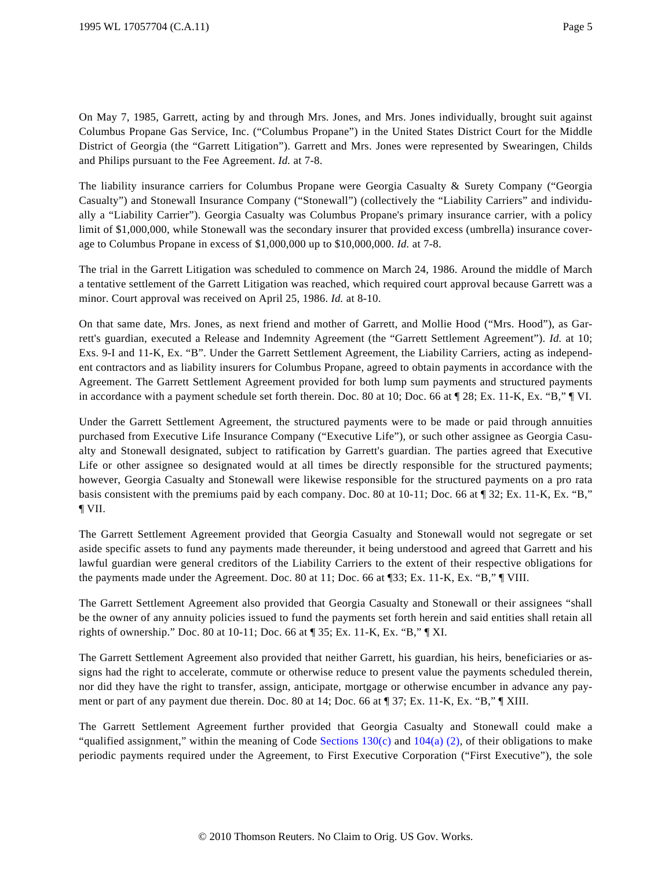On May 7, 1985, Garrett, acting by and through Mrs. Jones, and Mrs. Jones individually, brought suit against Columbus Propane Gas Service, Inc. ("Columbus Propane") in the United States District Court for the Middle District of Georgia (the "Garrett Litigation"). Garrett and Mrs. Jones were represented by Swearingen, Childs and Philips pursuant to the Fee Agreement. *Id.* at 7-8.

The liability insurance carriers for Columbus Propane were Georgia Casualty & Surety Company ("Georgia Casualty") and Stonewall Insurance Company ("Stonewall") (collectively the "Liability Carriers" and individually a "Liability Carrier"). Georgia Casualty was Columbus Propane's primary insurance carrier, with a policy limit of \$1,000,000, while Stonewall was the secondary insurer that provided excess (umbrella) insurance coverage to Columbus Propane in excess of \$1,000,000 up to \$10,000,000. *Id.* at 7-8.

The trial in the Garrett Litigation was scheduled to commence on March 24, 1986. Around the middle of March a tentative settlement of the Garrett Litigation was reached, which required court approval because Garrett was a minor. Court approval was received on April 25, 1986. *Id.* at 8-10.

On that same date, Mrs. Jones, as next friend and mother of Garrett, and Mollie Hood ("Mrs. Hood"), as Garrett's guardian, executed a Release and Indemnity Agreement (the "Garrett Settlement Agreement"). *Id.* at 10; Exs. 9-I and 11-K, Ex. "B". Under the Garrett Settlement Agreement, the Liability Carriers, acting as independent contractors and as liability insurers for Columbus Propane, agreed to obtain payments in accordance with the Agreement. The Garrett Settlement Agreement provided for both lump sum payments and structured payments in accordance with a payment schedule set forth therein. Doc. 80 at 10; Doc. 66 at ¶ 28; Ex. 11-K, Ex. "B," ¶ VI.

Under the Garrett Settlement Agreement, the structured payments were to be made or paid through annuities purchased from Executive Life Insurance Company ("Executive Life"), or such other assignee as Georgia Casualty and Stonewall designated, subject to ratification by Garrett's guardian. The parties agreed that Executive Life or other assignee so designated would at all times be directly responsible for the structured payments; however, Georgia Casualty and Stonewall were likewise responsible for the structured payments on a pro rata basis consistent with the premiums paid by each company. Doc. 80 at 10-11; Doc. 66 at ¶ 32; Ex. 11-K, Ex. "B," ¶ VII.

The Garrett Settlement Agreement provided that Georgia Casualty and Stonewall would not segregate or set aside specific assets to fund any payments made thereunder, it being understood and agreed that Garrett and his lawful guardian were general creditors of the Liability Carriers to the extent of their respective obligations for the payments made under the Agreement. Doc. 80 at 11; Doc. 66 at ¶33; Ex. 11-K, Ex. "B," ¶ VIII.

The Garrett Settlement Agreement also provided that Georgia Casualty and Stonewall or their assignees "shall be the owner of any annuity policies issued to fund the payments set forth herein and said entities shall retain all rights of ownership." Doc. 80 at 10-11; Doc. 66 at ¶ 35; Ex. 11-K, Ex. "B," ¶ XI.

The Garrett Settlement Agreement also provided that neither Garrett, his guardian, his heirs, beneficiaries or assigns had the right to accelerate, commute or otherwise reduce to present value the payments scheduled therein, nor did they have the right to transfer, assign, anticipate, mortgage or otherwise encumber in advance any payment or part of any payment due therein. Doc. 80 at 14; Doc. 66 at ¶ 37; Ex. 11-K, Ex. "B," ¶ XIII.

The Garrett Settlement Agreement further provided that Georgia Casualty and Stonewall could make a "qualified assignment," within the meaning of Code Sections  $130(c)$  and  $104(a)$  [\(2\)](http://www.westlaw.com/Find/Default.wl?rs=dfa1.0&vr=2.0&DB=1012823&DocName=26USCAS104&FindType=L), of their obligations to make periodic payments required under the Agreement, to First Executive Corporation ("First Executive"), the sole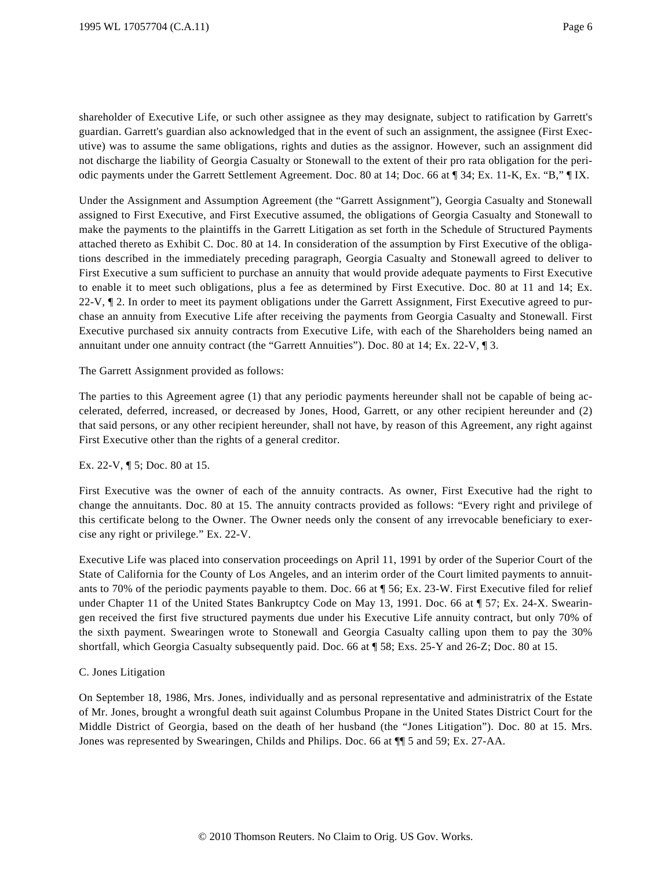shareholder of Executive Life, or such other assignee as they may designate, subject to ratification by Garrett's guardian. Garrett's guardian also acknowledged that in the event of such an assignment, the assignee (First Executive) was to assume the same obligations, rights and duties as the assignor. However, such an assignment did not discharge the liability of Georgia Casualty or Stonewall to the extent of their pro rata obligation for the periodic payments under the Garrett Settlement Agreement. Doc. 80 at 14; Doc. 66 at ¶ 34; Ex. 11-K, Ex. "B," ¶ IX.

Under the Assignment and Assumption Agreement (the "Garrett Assignment"), Georgia Casualty and Stonewall assigned to First Executive, and First Executive assumed, the obligations of Georgia Casualty and Stonewall to make the payments to the plaintiffs in the Garrett Litigation as set forth in the Schedule of Structured Payments attached thereto as Exhibit C. Doc. 80 at 14. In consideration of the assumption by First Executive of the obligations described in the immediately preceding paragraph, Georgia Casualty and Stonewall agreed to deliver to First Executive a sum sufficient to purchase an annuity that would provide adequate payments to First Executive to enable it to meet such obligations, plus a fee as determined by First Executive. Doc. 80 at 11 and 14; Ex. 22-V, ¶ 2. In order to meet its payment obligations under the Garrett Assignment, First Executive agreed to purchase an annuity from Executive Life after receiving the payments from Georgia Casualty and Stonewall. First Executive purchased six annuity contracts from Executive Life, with each of the Shareholders being named an annuitant under one annuity contract (the "Garrett Annuities"). Doc. 80 at 14; Ex. 22-V, ¶ 3.

#### The Garrett Assignment provided as follows:

The parties to this Agreement agree (1) that any periodic payments hereunder shall not be capable of being accelerated, deferred, increased, or decreased by Jones, Hood, Garrett, or any other recipient hereunder and (2) that said persons, or any other recipient hereunder, shall not have, by reason of this Agreement, any right against First Executive other than the rights of a general creditor.

## Ex. 22-V, ¶ 5; Doc. 80 at 15.

First Executive was the owner of each of the annuity contracts. As owner, First Executive had the right to change the annuitants. Doc. 80 at 15. The annuity contracts provided as follows: "Every right and privilege of this certificate belong to the Owner. The Owner needs only the consent of any irrevocable beneficiary to exercise any right or privilege." Ex. 22-V.

Executive Life was placed into conservation proceedings on April 11, 1991 by order of the Superior Court of the State of California for the County of Los Angeles, and an interim order of the Court limited payments to annuitants to 70% of the periodic payments payable to them. Doc. 66 at ¶ 56; Ex. 23-W. First Executive filed for relief under Chapter 11 of the United States Bankruptcy Code on May 13, 1991. Doc. 66 at ¶ 57; Ex. 24-X. Swearingen received the first five structured payments due under his Executive Life annuity contract, but only 70% of the sixth payment. Swearingen wrote to Stonewall and Georgia Casualty calling upon them to pay the 30% shortfall, which Georgia Casualty subsequently paid. Doc. 66 at ¶ 58; Exs. 25-Y and 26-Z; Doc. 80 at 15.

## C. Jones Litigation

On September 18, 1986, Mrs. Jones, individually and as personal representative and administratrix of the Estate of Mr. Jones, brought a wrongful death suit against Columbus Propane in the United States District Court for the Middle District of Georgia, based on the death of her husband (the "Jones Litigation"). Doc. 80 at 15. Mrs. Jones was represented by Swearingen, Childs and Philips. Doc. 66 at ¶¶ 5 and 59; Ex. 27-AA.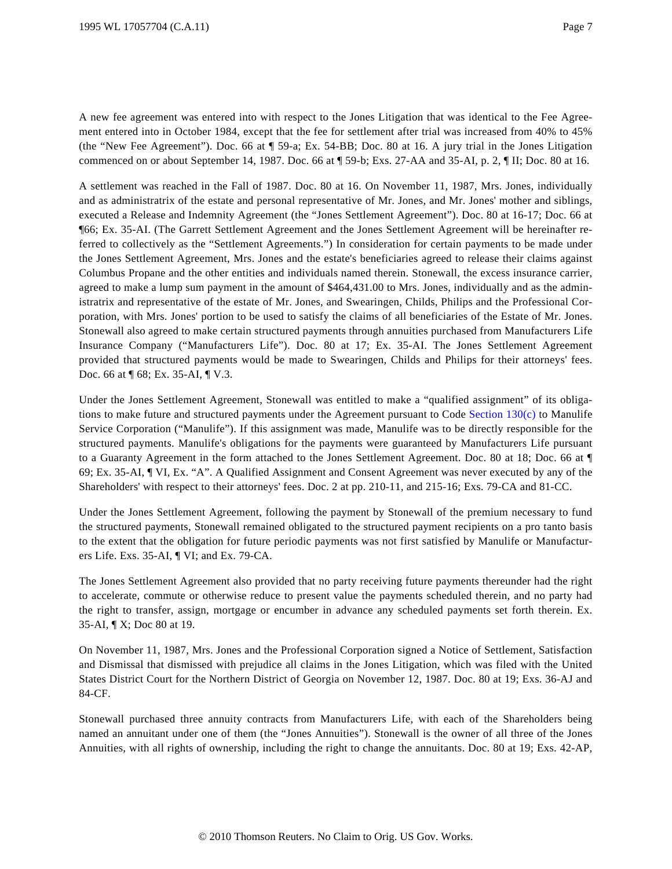A new fee agreement was entered into with respect to the Jones Litigation that was identical to the Fee Agreement entered into in October 1984, except that the fee for settlement after trial was increased from 40% to 45% (the "New Fee Agreement"). Doc. 66 at ¶ 59-a; Ex. 54-BB; Doc. 80 at 16. A jury trial in the Jones Litigation commenced on or about September 14, 1987. Doc. 66 at ¶ 59-b; Exs. 27-AA and 35-AI, p. 2, ¶ II; Doc. 80 at 16.

A settlement was reached in the Fall of 1987. Doc. 80 at 16. On November 11, 1987, Mrs. Jones, individually and as administratrix of the estate and personal representative of Mr. Jones, and Mr. Jones' mother and siblings, executed a Release and Indemnity Agreement (the "Jones Settlement Agreement"). Doc. 80 at 16-17; Doc. 66 at ¶66; Ex. 35-AI. (The Garrett Settlement Agreement and the Jones Settlement Agreement will be hereinafter referred to collectively as the "Settlement Agreements.") In consideration for certain payments to be made under the Jones Settlement Agreement, Mrs. Jones and the estate's beneficiaries agreed to release their claims against Columbus Propane and the other entities and individuals named therein. Stonewall, the excess insurance carrier, agreed to make a lump sum payment in the amount of \$464,431.00 to Mrs. Jones, individually and as the administratrix and representative of the estate of Mr. Jones, and Swearingen, Childs, Philips and the Professional Corporation, with Mrs. Jones' portion to be used to satisfy the claims of all beneficiaries of the Estate of Mr. Jones. Stonewall also agreed to make certain structured payments through annuities purchased from Manufacturers Life Insurance Company ("Manufacturers Life"). Doc. 80 at 17; Ex. 35-AI. The Jones Settlement Agreement provided that structured payments would be made to Swearingen, Childs and Philips for their attorneys' fees. Doc. 66 at ¶ 68; Ex. 35-AI, ¶ V.3.

Under the Jones Settlement Agreement, Stonewall was entitled to make a "qualified assignment" of its obligations to make future and structured payments under the Agreement pursuant to Code [Section 130\(c\)](http://www.westlaw.com/Find/Default.wl?rs=dfa1.0&vr=2.0&DB=1012823&DocName=26USCAS130&FindType=L&ReferencePositionType=T&ReferencePosition=SP_4b24000003ba5) to Manulife Service Corporation ("Manulife"). If this assignment was made, Manulife was to be directly responsible for the structured payments. Manulife's obligations for the payments were guaranteed by Manufacturers Life pursuant to a Guaranty Agreement in the form attached to the Jones Settlement Agreement. Doc. 80 at 18; Doc. 66 at ¶ 69; Ex. 35-AI, ¶ VI, Ex. "A". A Qualified Assignment and Consent Agreement was never executed by any of the Shareholders' with respect to their attorneys' fees. Doc. 2 at pp. 210-11, and 215-16; Exs. 79-CA and 81-CC.

Under the Jones Settlement Agreement, following the payment by Stonewall of the premium necessary to fund the structured payments, Stonewall remained obligated to the structured payment recipients on a pro tanto basis to the extent that the obligation for future periodic payments was not first satisfied by Manulife or Manufacturers Life. Exs. 35-AI, ¶ VI; and Ex. 79-CA.

The Jones Settlement Agreement also provided that no party receiving future payments thereunder had the right to accelerate, commute or otherwise reduce to present value the payments scheduled therein, and no party had the right to transfer, assign, mortgage or encumber in advance any scheduled payments set forth therein. Ex. 35-AI, ¶ X; Doc 80 at 19.

On November 11, 1987, Mrs. Jones and the Professional Corporation signed a Notice of Settlement, Satisfaction and Dismissal that dismissed with prejudice all claims in the Jones Litigation, which was filed with the United States District Court for the Northern District of Georgia on November 12, 1987. Doc. 80 at 19; Exs. 36-AJ and 84-CF.

Stonewall purchased three annuity contracts from Manufacturers Life, with each of the Shareholders being named an annuitant under one of them (the "Jones Annuities"). Stonewall is the owner of all three of the Jones Annuities, with all rights of ownership, including the right to change the annuitants. Doc. 80 at 19; Exs. 42-AP,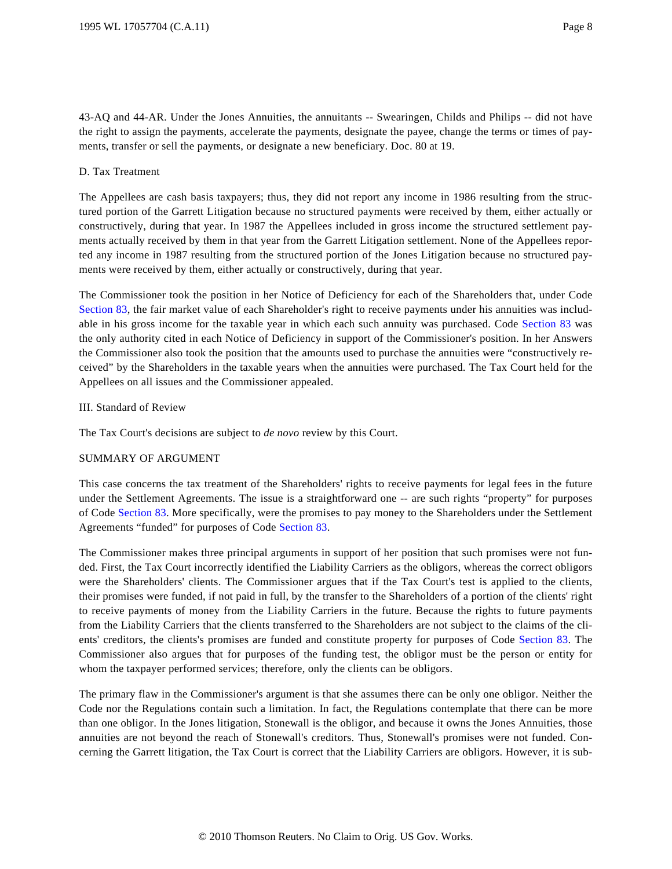43-AQ and 44-AR. Under the Jones Annuities, the annuitants -- Swearingen, Childs and Philips -- did not have the right to assign the payments, accelerate the payments, designate the payee, change the terms or times of payments, transfer or sell the payments, or designate a new beneficiary. Doc. 80 at 19.

#### D. Tax Treatment

The Appellees are cash basis taxpayers; thus, they did not report any income in 1986 resulting from the structured portion of the Garrett Litigation because no structured payments were received by them, either actually or constructively, during that year. In 1987 the Appellees included in gross income the structured settlement payments actually received by them in that year from the Garrett Litigation settlement. None of the Appellees reported any income in 1987 resulting from the structured portion of the Jones Litigation because no structured payments were received by them, either actually or constructively, during that year.

The Commissioner took the position in her Notice of Deficiency for each of the Shareholders that, under Code [Section 83](http://www.westlaw.com/Find/Default.wl?rs=dfa1.0&vr=2.0&DB=1012823&DocName=26USCAS83&FindType=L), the fair market value of each Shareholder's right to receive payments under his annuities was includable in his gross income for the taxable year in which each such annuity was purchased. Code [Section 83](http://www.westlaw.com/Find/Default.wl?rs=dfa1.0&vr=2.0&DB=1012823&DocName=26USCAS83&FindType=L) was the only authority cited in each Notice of Deficiency in support of the Commissioner's position. In her Answers the Commissioner also took the position that the amounts used to purchase the annuities were "constructively received" by the Shareholders in the taxable years when the annuities were purchased. The Tax Court held for the Appellees on all issues and the Commissioner appealed.

#### III. Standard of Review

The Tax Court's decisions are subject to *de novo* review by this Court.

## SUMMARY OF ARGUMENT

This case concerns the tax treatment of the Shareholders' rights to receive payments for legal fees in the future under the Settlement Agreements. The issue is a straightforward one -- are such rights "property" for purposes of Code [Section 83](http://www.westlaw.com/Find/Default.wl?rs=dfa1.0&vr=2.0&DB=1012823&DocName=26USCAS83&FindType=L). More specifically, were the promises to pay money to the Shareholders under the Settlement Agreements "funded" for purposes of Code [Section 83](http://www.westlaw.com/Find/Default.wl?rs=dfa1.0&vr=2.0&DB=1012823&DocName=26USCAS83&FindType=L).

The Commissioner makes three principal arguments in support of her position that such promises were not funded. First, the Tax Court incorrectly identified the Liability Carriers as the obligors, whereas the correct obligors were the Shareholders' clients. The Commissioner argues that if the Tax Court's test is applied to the clients, their promises were funded, if not paid in full, by the transfer to the Shareholders of a portion of the clients' right to receive payments of money from the Liability Carriers in the future. Because the rights to future payments from the Liability Carriers that the clients transferred to the Shareholders are not subject to the claims of the clients' creditors, the clients's promises are funded and constitute property for purposes of Code [Section 83](http://www.westlaw.com/Find/Default.wl?rs=dfa1.0&vr=2.0&DB=1012823&DocName=26USCAS83&FindType=L). The Commissioner also argues that for purposes of the funding test, the obligor must be the person or entity for whom the taxpayer performed services; therefore, only the clients can be obligors.

The primary flaw in the Commissioner's argument is that she assumes there can be only one obligor. Neither the Code nor the Regulations contain such a limitation. In fact, the Regulations contemplate that there can be more than one obligor. In the Jones litigation, Stonewall is the obligor, and because it owns the Jones Annuities, those annuities are not beyond the reach of Stonewall's creditors. Thus, Stonewall's promises were not funded. Concerning the Garrett litigation, the Tax Court is correct that the Liability Carriers are obligors. However, it is sub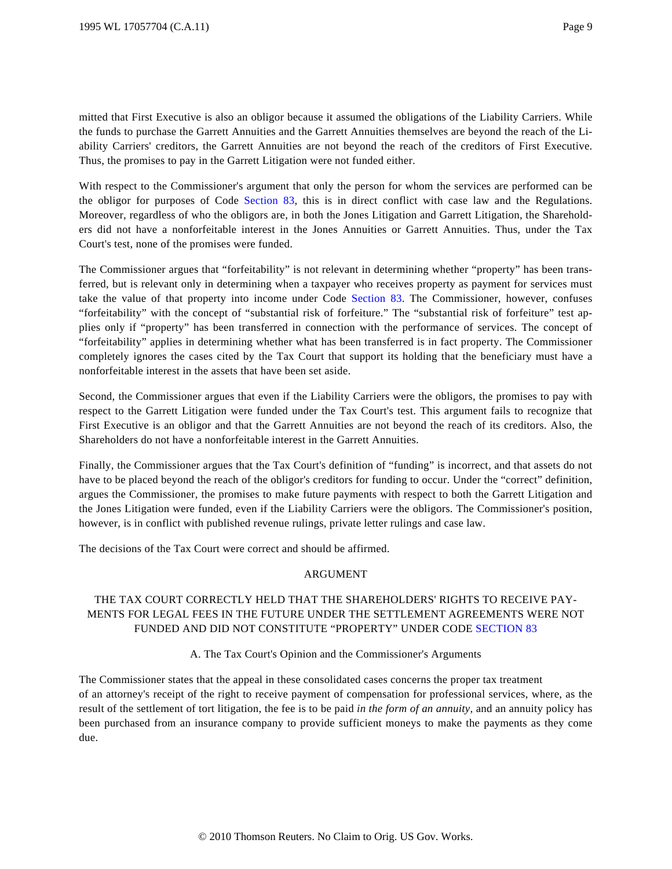mitted that First Executive is also an obligor because it assumed the obligations of the Liability Carriers. While the funds to purchase the Garrett Annuities and the Garrett Annuities themselves are beyond the reach of the Liability Carriers' creditors, the Garrett Annuities are not beyond the reach of the creditors of First Executive. Thus, the promises to pay in the Garrett Litigation were not funded either.

With respect to the Commissioner's argument that only the person for whom the services are performed can be the obligor for purposes of Code [Section 83](http://www.westlaw.com/Find/Default.wl?rs=dfa1.0&vr=2.0&DB=1012823&DocName=26USCAS83&FindType=L), this is in direct conflict with case law and the Regulations. Moreover, regardless of who the obligors are, in both the Jones Litigation and Garrett Litigation, the Shareholders did not have a nonforfeitable interest in the Jones Annuities or Garrett Annuities. Thus, under the Tax Court's test, none of the promises were funded.

The Commissioner argues that "forfeitability" is not relevant in determining whether "property" has been transferred, but is relevant only in determining when a taxpayer who receives property as payment for services must take the value of that property into income under Code [Section 83](http://www.westlaw.com/Find/Default.wl?rs=dfa1.0&vr=2.0&DB=1012823&DocName=26USCAS83&FindType=L). The Commissioner, however, confuses "forfeitability" with the concept of "substantial risk of forfeiture." The "substantial risk of forfeiture" test applies only if "property" has been transferred in connection with the performance of services. The concept of "forfeitability" applies in determining whether what has been transferred is in fact property. The Commissioner completely ignores the cases cited by the Tax Court that support its holding that the beneficiary must have a nonforfeitable interest in the assets that have been set aside.

Second, the Commissioner argues that even if the Liability Carriers were the obligors, the promises to pay with respect to the Garrett Litigation were funded under the Tax Court's test. This argument fails to recognize that First Executive is an obligor and that the Garrett Annuities are not beyond the reach of its creditors. Also, the Shareholders do not have a nonforfeitable interest in the Garrett Annuities.

Finally, the Commissioner argues that the Tax Court's definition of "funding" is incorrect, and that assets do not have to be placed beyond the reach of the obligor's creditors for funding to occur. Under the "correct" definition, argues the Commissioner, the promises to make future payments with respect to both the Garrett Litigation and the Jones Litigation were funded, even if the Liability Carriers were the obligors. The Commissioner's position, however, is in conflict with published revenue rulings, private letter rulings and case law.

The decisions of the Tax Court were correct and should be affirmed.

## ARGUMENT

# THE TAX COURT CORRECTLY HELD THAT THE SHAREHOLDERS' RIGHTS TO RECEIVE PAY-MENTS FOR LEGAL FEES IN THE FUTURE UNDER THE SETTLEMENT AGREEMENTS WERE NOT FUNDED AND DID NOT CONSTITUTE "PROPERTY" UNDER CODE [SECTION 83](http://www.westlaw.com/Find/Default.wl?rs=dfa1.0&vr=2.0&DB=1012823&DocName=26USCAS83&FindType=L)

## A. The Tax Court's Opinion and the Commissioner's Arguments

The Commissioner states that the appeal in these consolidated cases concerns the proper tax treatment of an attorney's receipt of the right to receive payment of compensation for professional services, where, as the result of the settlement of tort litigation, the fee is to be paid *in the form of an annuity,* and an annuity policy has been purchased from an insurance company to provide sufficient moneys to make the payments as they come due.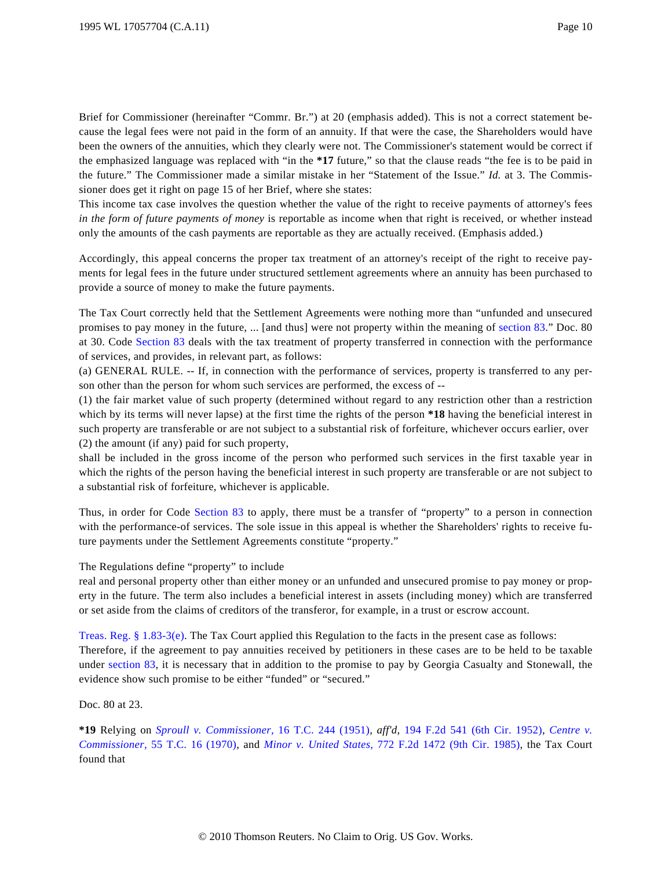Brief for Commissioner (hereinafter "Commr. Br.") at 20 (emphasis added). This is not a correct statement because the legal fees were not paid in the form of an annuity. If that were the case, the Shareholders would have been the owners of the annuities, which they clearly were not. The Commissioner's statement would be correct if the emphasized language was replaced with "in the **\*17** future," so that the clause reads "the fee is to be paid in the future." The Commissioner made a similar mistake in her "Statement of the Issue." *Id.* at 3. The Commissioner does get it right on page 15 of her Brief, where she states:

This income tax case involves the question whether the value of the right to receive payments of attorney's fees *in the form of future payments of money* is reportable as income when that right is received, or whether instead only the amounts of the cash payments are reportable as they are actually received. (Emphasis added.)

Accordingly, this appeal concerns the proper tax treatment of an attorney's receipt of the right to receive payments for legal fees in the future under structured settlement agreements where an annuity has been purchased to provide a source of money to make the future payments.

The Tax Court correctly held that the Settlement Agreements were nothing more than "unfunded and unsecured promises to pay money in the future, ... [and thus] were not property within the meaning of [section 83](http://www.westlaw.com/Find/Default.wl?rs=dfa1.0&vr=2.0&DB=1012823&DocName=26USCAS83&FindType=L)." Doc. 80 at 30. Code [Section 83](http://www.westlaw.com/Find/Default.wl?rs=dfa1.0&vr=2.0&DB=1012823&DocName=26USCAS83&FindType=L) deals with the tax treatment of property transferred in connection with the performance of services, and provides, in relevant part, as follows:

(a) GENERAL RULE. -- If, in connection with the performance of services, property is transferred to any person other than the person for whom such services are performed, the excess of --

(1) the fair market value of such property (determined without regard to any restriction other than a restriction which by its terms will never lapse) at the first time the rights of the person **\*18** having the beneficial interest in such property are transferable or are not subject to a substantial risk of forfeiture, whichever occurs earlier, over (2) the amount (if any) paid for such property,

shall be included in the gross income of the person who performed such services in the first taxable year in which the rights of the person having the beneficial interest in such property are transferable or are not subject to a substantial risk of forfeiture, whichever is applicable.

Thus, in order for Code [Section 83](http://www.westlaw.com/Find/Default.wl?rs=dfa1.0&vr=2.0&DB=1012823&DocName=26USCAS83&FindType=L) to apply, there must be a transfer of "property" to a person in connection with the performance-of services. The sole issue in this appeal is whether the Shareholders' rights to receive future payments under the Settlement Agreements constitute "property."

The Regulations define "property" to include

real and personal property other than either money or an unfunded and unsecured promise to pay money or property in the future. The term also includes a beneficial interest in assets (including money) which are transferred or set aside from the claims of creditors of the transferor, for example, in a trust or escrow account.

[Treas. Reg. § 1.83-3\(e\)](http://www.westlaw.com/Find/Default.wl?rs=dfa1.0&vr=2.0&DB=1016188&DocName=26CFRS1.83-3&FindType=L&ReferencePositionType=T&ReferencePosition=SP_7fdd00001ca15). The Tax Court applied this Regulation to the facts in the present case as follows: Therefore, if the agreement to pay annuities received by petitioners in these cases are to be held to be taxable under [section 83](http://www.westlaw.com/Find/Default.wl?rs=dfa1.0&vr=2.0&DB=1012823&DocName=26USCAS83&FindType=L), it is necessary that in addition to the promise to pay by Georgia Casualty and Stonewall, the evidence show such promise to be either "funded" or "secured."

Doc. 80 at 23.

**\*19** Relying on *[Sproull v. Commissioner](http://www.westlaw.com/Find/Default.wl?rs=dfa1.0&vr=2.0&DB=838&FindType=Y&SerialNum=1951287377),* [16 T.C. 244 \(1951](http://www.westlaw.com/Find/Default.wl?rs=dfa1.0&vr=2.0&DB=838&FindType=Y&SerialNum=1951287377)), *aff'd,* [194 F.2d 541 \(6th Cir. 195](http://www.westlaw.com/Find/Default.wl?rs=dfa1.0&vr=2.0&DB=350&FindType=Y&SerialNum=1952200085)2), *[Centre v.](http://www.westlaw.com/Find/Default.wl?rs=dfa1.0&vr=2.0&DB=838&FindType=Y&SerialNum=1971290034) [Commissioner,](http://www.westlaw.com/Find/Default.wl?rs=dfa1.0&vr=2.0&DB=838&FindType=Y&SerialNum=1971290034)* [55 T.C. 16 \(1970](http://www.westlaw.com/Find/Default.wl?rs=dfa1.0&vr=2.0&DB=838&FindType=Y&SerialNum=1971290034)), and *[Minor v. United States](http://www.westlaw.com/Find/Default.wl?rs=dfa1.0&vr=2.0&DB=350&FindType=Y&SerialNum=1985148622),* [772 F.2d 1472 \(9th Cir. 198](http://www.westlaw.com/Find/Default.wl?rs=dfa1.0&vr=2.0&DB=350&FindType=Y&SerialNum=1985148622)5), the Tax Court found that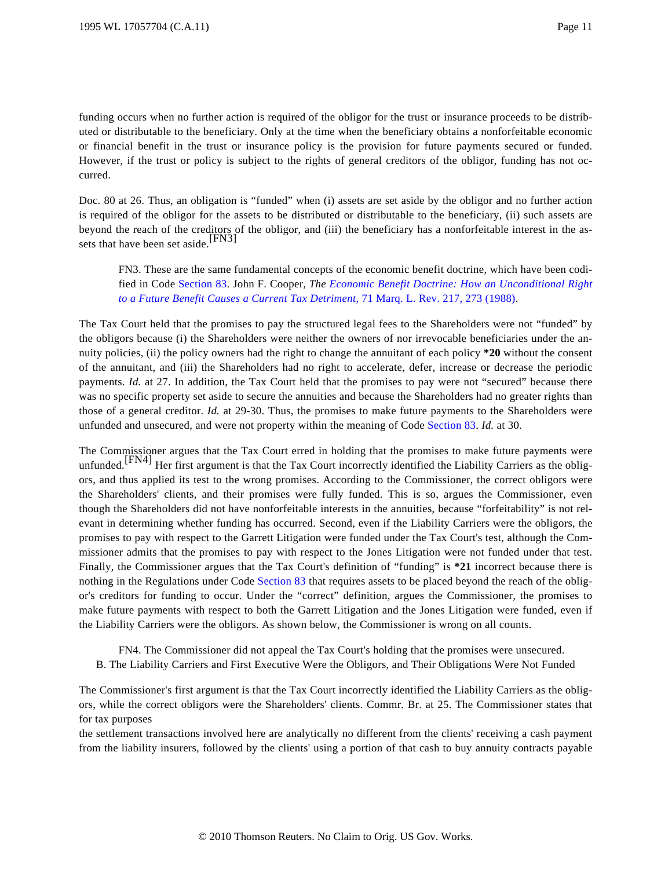funding occurs when no further action is required of the obligor for the trust or insurance proceeds to be distributed or distributable to the beneficiary. Only at the time when the beneficiary obtains a nonforfeitable economic or financial benefit in the trust or insurance policy is the provision for future payments secured or funded. However, if the trust or policy is subject to the rights of general creditors of the obligor, funding has not occurred.

Doc. 80 at 26. Thus, an obligation is "funded" when (i) assets are set aside by the obligor and no further action is required of the obligor for the assets to be distributed or distributable to the beneficiary, (ii) such assets are beyond the reach of the creditors of the obligor, and (iii) the beneficiary has a nonforfeitable interest in the assets that have been set aside.<sup>[FN3]</sup>

FN3. These are the same fundamental concepts of the economic benefit doctrine, which have been codified in Code [Section 83](http://www.westlaw.com/Find/Default.wl?rs=dfa1.0&vr=2.0&DB=1012823&DocName=26USCAS83&FindType=L). John F. Cooper, *The [Economic Benefit Doctrine: How an Unconditional Right](http://www.westlaw.com/Find/Default.wl?rs=dfa1.0&vr=2.0&DB=1186&FindType=Y&ReferencePositionType=S&SerialNum=0102420293&ReferencePosition=273) [to a Future Benefit Causes a Current Tax Detriment](http://www.westlaw.com/Find/Default.wl?rs=dfa1.0&vr=2.0&DB=1186&FindType=Y&ReferencePositionType=S&SerialNum=0102420293&ReferencePosition=273),* [71 Marq. L. Rev. 217, 273 \(1988\)](http://www.westlaw.com/Find/Default.wl?rs=dfa1.0&vr=2.0&DB=1186&FindType=Y&ReferencePositionType=S&SerialNum=0102420293&ReferencePosition=273).

The Tax Court held that the promises to pay the structured legal fees to the Shareholders were not "funded" by the obligors because (i) the Shareholders were neither the owners of nor irrevocable beneficiaries under the annuity policies, (ii) the policy owners had the right to change the annuitant of each policy **\*20** without the consent of the annuitant, and (iii) the Shareholders had no right to accelerate, defer, increase or decrease the periodic payments. *Id.* at 27. In addition, the Tax Court held that the promises to pay were not "secured" because there was no specific property set aside to secure the annuities and because the Shareholders had no greater rights than those of a general creditor. *Id.* at 29-30. Thus, the promises to make future payments to the Shareholders were unfunded and unsecured, and were not property within the meaning of Code [Section 83](http://www.westlaw.com/Find/Default.wl?rs=dfa1.0&vr=2.0&DB=1012823&DocName=26USCAS83&FindType=L). *Id.* at 30.

The Commissioner argues that the Tax Court erred in holding that the promises to make future payments were unfunded.<sup>[FN4]</sup> Her first argument is that the Tax Court incorrectly identified the Liability Carriers as the obligors, and thus applied its test to the wrong promises. According to the Commissioner, the correct obligors were the Shareholders' clients, and their promises were fully funded. This is so, argues the Commissioner, even though the Shareholders did not have nonforfeitable interests in the annuities, because "forfeitability" is not relevant in determining whether funding has occurred. Second, even if the Liability Carriers were the obligors, the promises to pay with respect to the Garrett Litigation were funded under the Tax Court's test, although the Commissioner admits that the promises to pay with respect to the Jones Litigation were not funded under that test. Finally, the Commissioner argues that the Tax Court's definition of "funding" is **\*21** incorrect because there is nothing in the Regulations under Code [Section 83](http://www.westlaw.com/Find/Default.wl?rs=dfa1.0&vr=2.0&DB=1012823&DocName=26USCAS83&FindType=L) that requires assets to be placed beyond the reach of the obligor's creditors for funding to occur. Under the "correct" definition, argues the Commissioner, the promises to make future payments with respect to both the Garrett Litigation and the Jones Litigation were funded, even if the Liability Carriers were the obligors. As shown below, the Commissioner is wrong on all counts.

FN4. The Commissioner did not appeal the Tax Court's holding that the promises were unsecured. B. The Liability Carriers and First Executive Were the Obligors, and Their Obligations Were Not Funded

The Commissioner's first argument is that the Tax Court incorrectly identified the Liability Carriers as the obligors, while the correct obligors were the Shareholders' clients. Commr. Br. at 25. The Commissioner states that for tax purposes

the settlement transactions involved here are analytically no different from the clients' receiving a cash payment from the liability insurers, followed by the clients' using a portion of that cash to buy annuity contracts payable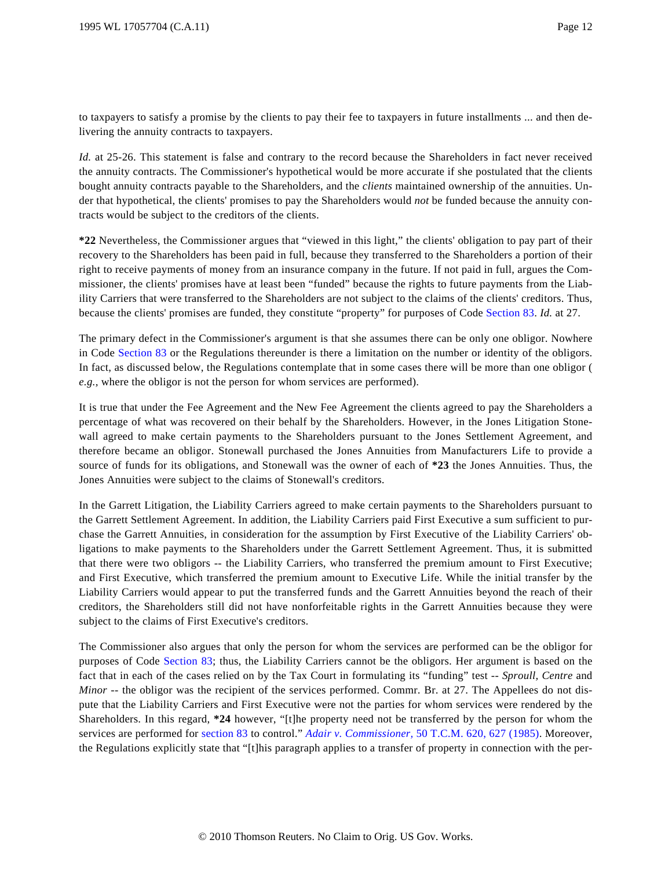to taxpayers to satisfy a promise by the clients to pay their fee to taxpayers in future installments ... and then delivering the annuity contracts to taxpayers.

*Id.* at 25-26. This statement is false and contrary to the record because the Shareholders in fact never received the annuity contracts. The Commissioner's hypothetical would be more accurate if she postulated that the clients bought annuity contracts payable to the Shareholders, and the *clients* maintained ownership of the annuities. Under that hypothetical, the clients' promises to pay the Shareholders would *not* be funded because the annuity contracts would be subject to the creditors of the clients.

**\*22** Nevertheless, the Commissioner argues that "viewed in this light," the clients' obligation to pay part of their recovery to the Shareholders has been paid in full, because they transferred to the Shareholders a portion of their right to receive payments of money from an insurance company in the future. If not paid in full, argues the Commissioner, the clients' promises have at least been "funded" because the rights to future payments from the Liability Carriers that were transferred to the Shareholders are not subject to the claims of the clients' creditors. Thus, because the clients' promises are funded, they constitute "property" for purposes of Code [Section 83](http://www.westlaw.com/Find/Default.wl?rs=dfa1.0&vr=2.0&DB=1012823&DocName=26USCAS83&FindType=L). *Id.* at 27.

The primary defect in the Commissioner's argument is that she assumes there can be only one obligor. Nowhere in Code [Section 83](http://www.westlaw.com/Find/Default.wl?rs=dfa1.0&vr=2.0&DB=1012823&DocName=26USCAS83&FindType=L) or the Regulations thereunder is there a limitation on the number or identity of the obligors. In fact, as discussed below, the Regulations contemplate that in some cases there will be more than one obligor ( *e.g.,* where the obligor is not the person for whom services are performed).

It is true that under the Fee Agreement and the New Fee Agreement the clients agreed to pay the Shareholders a percentage of what was recovered on their behalf by the Shareholders. However, in the Jones Litigation Stonewall agreed to make certain payments to the Shareholders pursuant to the Jones Settlement Agreement, and therefore became an obligor. Stonewall purchased the Jones Annuities from Manufacturers Life to provide a source of funds for its obligations, and Stonewall was the owner of each of **\*23** the Jones Annuities. Thus, the Jones Annuities were subject to the claims of Stonewall's creditors.

In the Garrett Litigation, the Liability Carriers agreed to make certain payments to the Shareholders pursuant to the Garrett Settlement Agreement. In addition, the Liability Carriers paid First Executive a sum sufficient to purchase the Garrett Annuities, in consideration for the assumption by First Executive of the Liability Carriers' obligations to make payments to the Shareholders under the Garrett Settlement Agreement. Thus, it is submitted that there were two obligors -- the Liability Carriers, who transferred the premium amount to First Executive; and First Executive, which transferred the premium amount to Executive Life. While the initial transfer by the Liability Carriers would appear to put the transferred funds and the Garrett Annuities beyond the reach of their creditors, the Shareholders still did not have nonforfeitable rights in the Garrett Annuities because they were subject to the claims of First Executive's creditors.

The Commissioner also argues that only the person for whom the services are performed can be the obligor for purposes of Code [Section 83](http://www.westlaw.com/Find/Default.wl?rs=dfa1.0&vr=2.0&DB=1012823&DocName=26USCAS83&FindType=L); thus, the Liability Carriers cannot be the obligors. Her argument is based on the fact that in each of the cases relied on by the Tax Court in formulating its "funding" test -- *Sproull, Centre* and *Minor* -- the obligor was the recipient of the services performed. Commr. Br. at 27. The Appellees do not dispute that the Liability Carriers and First Executive were not the parties for whom services were rendered by the Shareholders. In this regard, **\*24** however, "[t]he property need not be transferred by the person for whom the services are performed for [section 83](http://www.westlaw.com/Find/Default.wl?rs=dfa1.0&vr=2.0&DB=1012823&DocName=26USCAS83&FindType=L) to control." *[Adair v. Commissioner](http://www.westlaw.com/Find/Default.wl?rs=dfa1.0&vr=2.0&DB=1620&FindType=Y&ReferencePositionType=S&SerialNum=1985007049&ReferencePosition=627),* [50 T.C.M. 620, 627 \(1985\)](http://www.westlaw.com/Find/Default.wl?rs=dfa1.0&vr=2.0&DB=1620&FindType=Y&ReferencePositionType=S&SerialNum=1985007049&ReferencePosition=627). Moreover, the Regulations explicitly state that "[t]his paragraph applies to a transfer of property in connection with the per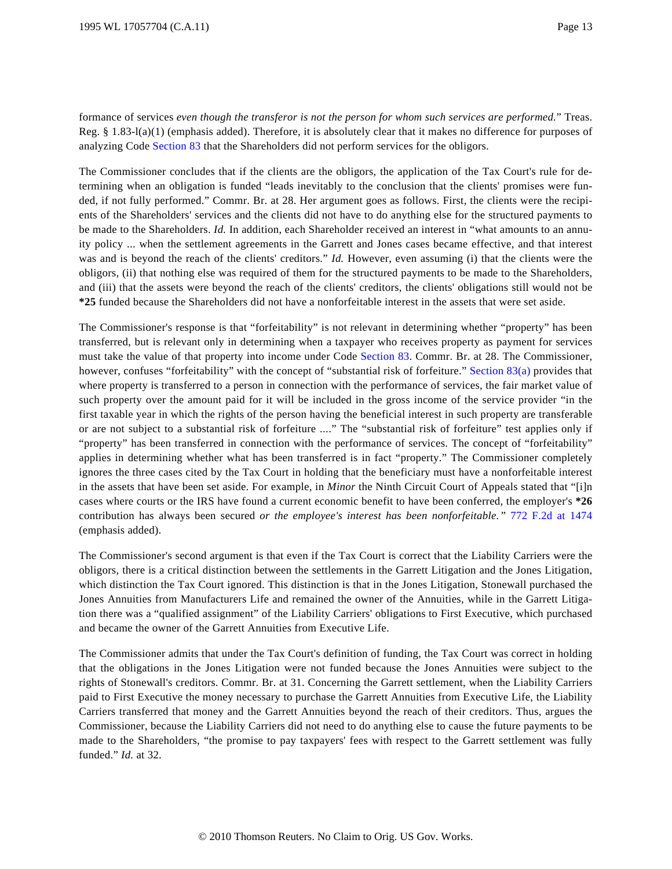formance of services *even though the transferor is not the person for whom such services are performed.*" Treas. Reg. § 1.83-l(a)(1) (emphasis added). Therefore, it is absolutely clear that it makes no difference for purposes of analyzing Code [Section 83](http://www.westlaw.com/Find/Default.wl?rs=dfa1.0&vr=2.0&DB=1012823&DocName=26USCAS83&FindType=L) that the Shareholders did not perform services for the obligors.

The Commissioner concludes that if the clients are the obligors, the application of the Tax Court's rule for determining when an obligation is funded "leads inevitably to the conclusion that the clients' promises were funded, if not fully performed." Commr. Br. at 28. Her argument goes as follows. First, the clients were the recipients of the Shareholders' services and the clients did not have to do anything else for the structured payments to be made to the Shareholders. *Id.* In addition, each Shareholder received an interest in "what amounts to an annuity policy ... when the settlement agreements in the Garrett and Jones cases became effective, and that interest was and is beyond the reach of the clients' creditors." *Id.* However, even assuming (i) that the clients were the obligors, (ii) that nothing else was required of them for the structured payments to be made to the Shareholders, and (iii) that the assets were beyond the reach of the clients' creditors, the clients' obligations still would not be **\*25** funded because the Shareholders did not have a nonforfeitable interest in the assets that were set aside.

The Commissioner's response is that "forfeitability" is not relevant in determining whether "property" has been transferred, but is relevant only in determining when a taxpayer who receives property as payment for services must take the value of that property into income under Code [Section 83](http://www.westlaw.com/Find/Default.wl?rs=dfa1.0&vr=2.0&DB=1012823&DocName=26USCAS83&FindType=L). Commr. Br. at 28. The Commissioner, however, confuses "forfeitability" with the concept of "substantial risk of forfeiture." [Section 83\(a\)](http://www.westlaw.com/Find/Default.wl?rs=dfa1.0&vr=2.0&DB=1012823&DocName=26USCAS83&FindType=L&ReferencePositionType=T&ReferencePosition=SP_8b3b0000958a4) provides that where property is transferred to a person in connection with the performance of services, the fair market value of such property over the amount paid for it will be included in the gross income of the service provider "in the first taxable year in which the rights of the person having the beneficial interest in such property are transferable or are not subject to a substantial risk of forfeiture ...." The "substantial risk of forfeiture" test applies only if "property" has been transferred in connection with the performance of services. The concept of "forfeitability" applies in determining whether what has been transferred is in fact "property." The Commissioner completely ignores the three cases cited by the Tax Court in holding that the beneficiary must have a nonforfeitable interest in the assets that have been set aside. For example, in *Minor* the Ninth Circuit Court of Appeals stated that "[i]n cases where courts or the IRS have found a current economic benefit to have been conferred, the employer's **\*26** contribution has always been secured *or the employee's interest has been nonforfeitable.* " [772 F.2d at 147](http://www.westlaw.com/Find/Default.wl?rs=dfa1.0&vr=2.0&DB=350&FindType=Y&ReferencePositionType=S&SerialNum=1985148622&ReferencePosition=1474)4 (emphasis added).

The Commissioner's second argument is that even if the Tax Court is correct that the Liability Carriers were the obligors, there is a critical distinction between the settlements in the Garrett Litigation and the Jones Litigation, which distinction the Tax Court ignored. This distinction is that in the Jones Litigation, Stonewall purchased the Jones Annuities from Manufacturers Life and remained the owner of the Annuities, while in the Garrett Litigation there was a "qualified assignment" of the Liability Carriers' obligations to First Executive, which purchased and became the owner of the Garrett Annuities from Executive Life.

The Commissioner admits that under the Tax Court's definition of funding, the Tax Court was correct in holding that the obligations in the Jones Litigation were not funded because the Jones Annuities were subject to the rights of Stonewall's creditors. Commr. Br. at 31. Concerning the Garrett settlement, when the Liability Carriers paid to First Executive the money necessary to purchase the Garrett Annuities from Executive Life, the Liability Carriers transferred that money and the Garrett Annuities beyond the reach of their creditors. Thus, argues the Commissioner, because the Liability Carriers did not need to do anything else to cause the future payments to be made to the Shareholders, "the promise to pay taxpayers' fees with respect to the Garrett settlement was fully funded." *Id.* at 32.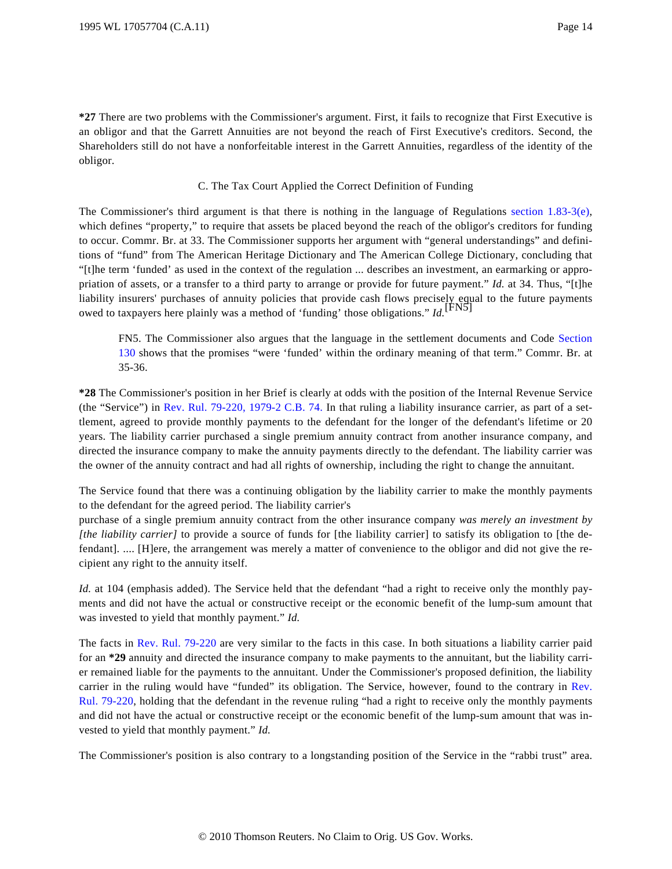**\*27** There are two problems with the Commissioner's argument. First, it fails to recognize that First Executive is an obligor and that the Garrett Annuities are not beyond the reach of First Executive's creditors. Second, the Shareholders still do not have a nonforfeitable interest in the Garrett Annuities, regardless of the identity of the obligor.

### C. The Tax Court Applied the Correct Definition of Funding

The Commissioner's third argument is that there is nothing in the language of Regulations [section 1.83-3\(e](http://www.westlaw.com/Find/Default.wl?rs=dfa1.0&vr=2.0&DB=1016188&DocName=26CFRS1.83-3&FindType=L&ReferencePositionType=T&ReferencePosition=SP_7fdd00001ca15)), which defines "property," to require that assets be placed beyond the reach of the obligor's creditors for funding to occur. Commr. Br. at 33. The Commissioner supports her argument with "general understandings" and definitions of "fund" from The American Heritage Dictionary and The American College Dictionary, concluding that "[t]he term 'funded' as used in the context of the regulation ... describes an investment, an earmarking or appropriation of assets, or a transfer to a third party to arrange or provide for future payment." *Id.* at 34. Thus, "[t]he liability insurers' purchases of annuity policies that provide cash flows precisely equal to the future payments owed to taxpayers here plainly was a method of 'funding' those obligations." *Id.*<sup>[FN5]</sup>

FN5. The Commissioner also argues that the language in the settlement documents and Code [Section](http://www.westlaw.com/Find/Default.wl?rs=dfa1.0&vr=2.0&DB=1012823&DocName=26USCAS130&FindType=L) [130](http://www.westlaw.com/Find/Default.wl?rs=dfa1.0&vr=2.0&DB=1012823&DocName=26USCAS130&FindType=L) shows that the promises "were 'funded' within the ordinary meaning of that term." Commr. Br. at 35-36.

**\*28** The Commissioner's position in her Brief is clearly at odds with the position of the Internal Revenue Service (the "Service") in [Rev. Rul. 79-220, 1979-2 C.B. 74](http://www.westlaw.com/Find/Default.wl?rs=dfa1.0&vr=2.0&DB=1048&FindType=Y&SerialNum=1979020295). In that ruling a liability insurance carrier, as part of a settlement, agreed to provide monthly payments to the defendant for the longer of the defendant's lifetime or 20 years. The liability carrier purchased a single premium annuity contract from another insurance company, and directed the insurance company to make the annuity payments directly to the defendant. The liability carrier was the owner of the annuity contract and had all rights of ownership, including the right to change the annuitant.

The Service found that there was a continuing obligation by the liability carrier to make the monthly payments to the defendant for the agreed period. The liability carrier's

purchase of a single premium annuity contract from the other insurance company *was merely an investment by [the liability carrier]* to provide a source of funds for [the liability carrier] to satisfy its obligation to [the defendant]. .... [H]ere, the arrangement was merely a matter of convenience to the obligor and did not give the recipient any right to the annuity itself.

*Id.* at 104 (emphasis added). The Service held that the defendant "had a right to receive only the monthly payments and did not have the actual or constructive receipt or the economic benefit of the lump-sum amount that was invested to yield that monthly payment." *Id.*

The facts in [Rev. Rul. 79-220](http://www.westlaw.com/Find/Default.wl?rs=dfa1.0&vr=2.0&DB=0001048&FindType=Y&SerialNum=1979020295) are very similar to the facts in this case. In both situations a liability carrier paid for an **\*29** annuity and directed the insurance company to make payments to the annuitant, but the liability carrier remained liable for the payments to the annuitant. Under the Commissioner's proposed definition, the liability carrier in the ruling would have "funded" its obligation. The Service, however, found to the contrary in [Rev.](http://www.westlaw.com/Find/Default.wl?rs=dfa1.0&vr=2.0&DB=0001048&FindType=Y&SerialNum=1979020295) [Rul. 79-220](http://www.westlaw.com/Find/Default.wl?rs=dfa1.0&vr=2.0&DB=0001048&FindType=Y&SerialNum=1979020295), holding that the defendant in the revenue ruling "had a right to receive only the monthly payments and did not have the actual or constructive receipt or the economic benefit of the lump-sum amount that was invested to yield that monthly payment." *Id.*

The Commissioner's position is also contrary to a longstanding position of the Service in the "rabbi trust" area.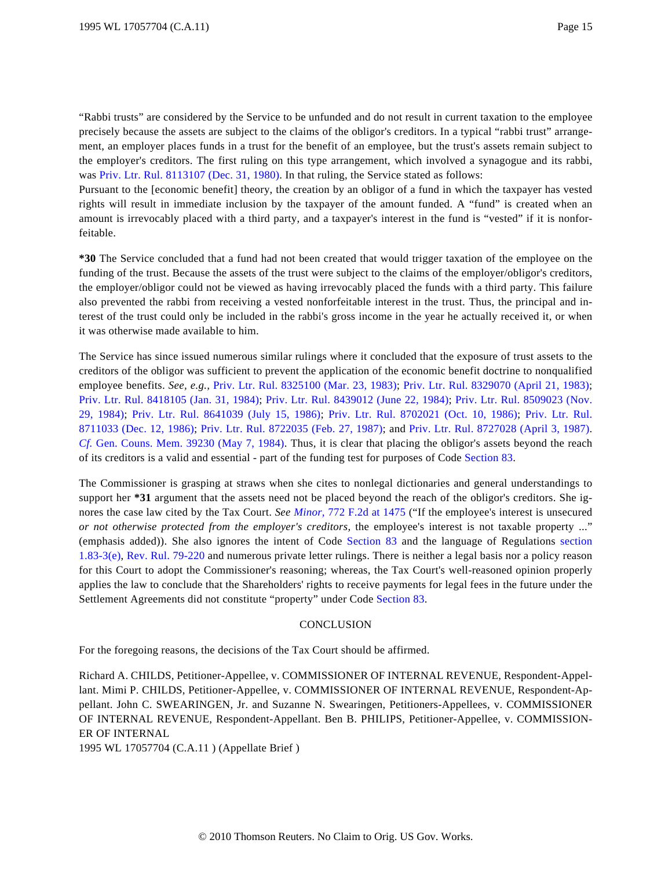"Rabbi trusts" are considered by the Service to be unfunded and do not result in current taxation to the employee precisely because the assets are subject to the claims of the obligor's creditors. In a typical "rabbi trust" arrangement, an employer places funds in a trust for the benefit of an employee, but the trust's assets remain subject to the employer's creditors. The first ruling on this type arrangement, which involved a synagogue and its rabbi, was [Priv. Ltr. Rul. 8113107 \(Dec. 31, 1980\)](http://www.westlaw.com/Find/Default.wl?rs=dfa1.0&vr=2.0&DB=0004309&FindType=Y&SerialNum=1980034226). In that ruling, the Service stated as follows:

Pursuant to the [economic benefit] theory, the creation by an obligor of a fund in which the taxpayer has vested rights will result in immediate inclusion by the taxpayer of the amount funded. A "fund" is created when an amount is irrevocably placed with a third party, and a taxpayer's interest in the fund is "vested" if it is nonforfeitable.

**\*30** The Service concluded that a fund had not been created that would trigger taxation of the employee on the funding of the trust. Because the assets of the trust were subject to the claims of the employer/obligor's creditors, the employer/obligor could not be viewed as having irrevocably placed the funds with a third party. This failure also prevented the rabbi from receiving a vested nonforfeitable interest in the trust. Thus, the principal and interest of the trust could only be included in the rabbi's gross income in the year he actually received it, or when it was otherwise made available to him.

The Service has since issued numerous similar rulings where it concluded that the exposure of trust assets to the creditors of the obligor was sufficient to prevent the application of the economic benefit doctrine to nonqualified employee benefits. *See, e.g.,* [Priv. Ltr. Rul. 8325100 \(Mar. 23, 1983](http://www.westlaw.com/Find/Default.wl?rs=dfa1.0&vr=2.0&DB=0004309&FindType=Y&SerialNum=1983037084)); [Priv. Ltr. Rul. 8329070 \(April 21, 1983](http://www.westlaw.com/Find/Default.wl?rs=dfa1.0&vr=2.0&DB=0004309&FindType=Y&SerialNum=1983037464)); [Priv. Ltr. Rul. 8418105 \(Jan. 31, 1984](http://www.westlaw.com/Find/Default.wl?rs=dfa1.0&vr=2.0&DB=0004309&FindType=Y&SerialNum=1984041450)); [Priv. Ltr. Rul. 8439012 \(June 22, 1984](http://www.westlaw.com/Find/Default.wl?rs=dfa1.0&vr=2.0&DB=0004309&FindType=Y&SerialNum=1984043027)); [Priv. Ltr. Rul. 8509023 \(Nov.](http://www.westlaw.com/Find/Default.wl?rs=dfa1.0&vr=2.0&DB=0004309&FindType=Y&SerialNum=1984038732) [29, 1984](http://www.westlaw.com/Find/Default.wl?rs=dfa1.0&vr=2.0&DB=0004309&FindType=Y&SerialNum=1984038732)); [Priv. Ltr. Rul. 8641039 \(July 15, 198](http://www.westlaw.com/Find/Default.wl?rs=dfa1.0&vr=2.0&DB=0004309&FindType=Y&SerialNum=1986033623)6); [Priv. Ltr. Rul. 8702021 \(Oct. 10, 198](http://www.westlaw.com/Find/Default.wl?rs=dfa1.0&vr=2.0&DB=0004309&FindType=Y&SerialNum=1986034257)6); [Priv. Ltr. Rul](http://www.westlaw.com/Find/Default.wl?rs=dfa1.0&vr=2.0&DB=0004309&FindType=Y&SerialNum=1986035714). [8711033 \(Dec. 12, 1986](http://www.westlaw.com/Find/Default.wl?rs=dfa1.0&vr=2.0&DB=0004309&FindType=Y&SerialNum=1986035714)); [Priv. Ltr. Rul. 8722035 \(Feb. 27, 1987](http://www.westlaw.com/Find/Default.wl?rs=dfa1.0&vr=2.0&DB=0004309&FindType=Y&SerialNum=1987188463)); and [Priv. Ltr. Rul. 8727028 \(April 3, 1987](http://www.westlaw.com/Find/Default.wl?rs=dfa1.0&vr=2.0&DB=0004309&FindType=Y&SerialNum=1987190905)). *[Cf.](http://www.westlaw.com/Find/Default.wl?rs=dfa1.0&vr=2.0&DB=3002&FindType=Y&SerialNum=1984256453)* [Gen. Couns. Mem. 39230 \(May 7, 1984](http://www.westlaw.com/Find/Default.wl?rs=dfa1.0&vr=2.0&DB=3002&FindType=Y&SerialNum=1984256453)). Thus, it is clear that placing the obligor's assets beyond the reach of its creditors is a valid and essential - part of the funding test for purposes of Code [Section 83](http://www.westlaw.com/Find/Default.wl?rs=dfa1.0&vr=2.0&DB=1012823&DocName=26USCAS83&FindType=L).

The Commissioner is grasping at straws when she cites to nonlegal dictionaries and general understandings to support her **\*31** argument that the assets need not be placed beyond the reach of the obligor's creditors. She ignores the case law cited by the Tax Court. *See [Minor,](http://www.westlaw.com/Find/Default.wl?rs=dfa1.0&vr=2.0&DB=350&FindType=Y&ReferencePositionType=S&SerialNum=1985148622&ReferencePosition=1475)* [772 F.2d at 1475](http://www.westlaw.com/Find/Default.wl?rs=dfa1.0&vr=2.0&DB=350&FindType=Y&ReferencePositionType=S&SerialNum=1985148622&ReferencePosition=1475) ("If the employee's interest is unsecured *or not otherwise protected from the employer's creditors,* the employee's interest is not taxable property ..." (emphasis added)). She also ignores the intent of Code [Section 83](http://www.westlaw.com/Find/Default.wl?rs=dfa1.0&vr=2.0&DB=1012823&DocName=26USCAS83&FindType=L) and the language of Regulations [section](http://www.westlaw.com/Find/Default.wl?rs=dfa1.0&vr=2.0&DB=1016188&DocName=26CFRS1.83-3&FindType=L&ReferencePositionType=T&ReferencePosition=SP_7fdd00001ca15) [1.83-3\(e\)](http://www.westlaw.com/Find/Default.wl?rs=dfa1.0&vr=2.0&DB=1016188&DocName=26CFRS1.83-3&FindType=L&ReferencePositionType=T&ReferencePosition=SP_7fdd00001ca15), [Rev. Rul. 79-220](http://www.westlaw.com/Find/Default.wl?rs=dfa1.0&vr=2.0&DB=0001048&FindType=Y&SerialNum=1979020295) and numerous private letter rulings. There is neither a legal basis nor a policy reason for this Court to adopt the Commissioner's reasoning; whereas, the Tax Court's well-reasoned opinion properly applies the law to conclude that the Shareholders' rights to receive payments for legal fees in the future under the Settlement Agreements did not constitute "property" under Code [Section 83](http://www.westlaw.com/Find/Default.wl?rs=dfa1.0&vr=2.0&DB=1012823&DocName=26USCAS83&FindType=L).

#### **CONCLUSION**

For the foregoing reasons, the decisions of the Tax Court should be affirmed.

Richard A. CHILDS, Petitioner-Appellee, v. COMMISSIONER OF INTERNAL REVENUE, Respondent-Appellant. Mimi P. CHILDS, Petitioner-Appellee, v. COMMISSIONER OF INTERNAL REVENUE, Respondent-Appellant. John C. SWEARINGEN, Jr. and Suzanne N. Swearingen, Petitioners-Appellees, v. COMMISSIONER OF INTERNAL REVENUE, Respondent-Appellant. Ben B. PHILIPS, Petitioner-Appellee, v. COMMISSION-ER OF INTERNAL

1995 WL 17057704 (C.A.11 ) (Appellate Brief )